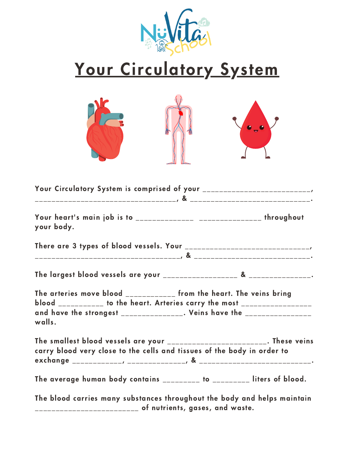

## Your Circulatory System



| Your heart's main job is to _______________ ________________ throughout<br>your body. |                                                                           |                                 |
|---------------------------------------------------------------------------------------|---------------------------------------------------------------------------|---------------------------------|
|                                                                                       |                                                                           |                                 |
|                                                                                       |                                                                           |                                 |
|                                                                                       |                                                                           |                                 |
| The arteries move blood ____________ from the heart. The veins bring                  | blood ___________ to the heart. Arteries carry the most _________________ |                                 |
| and have the strongest _______________. Veins have the ________________<br>walls.     |                                                                           |                                 |
| The smallest blood vessels are your ________________________. These veins             |                                                                           |                                 |
| carry blood very close to the cells and tissues of the body in order to               |                                                                           |                                 |
|                                                                                       |                                                                           |                                 |
| The average human body contains ________ to _________ liters of blood.                |                                                                           |                                 |
| The blood carries many substances throughout the body and helps maintain              |                                                                           | of nutrients, aases, and waste. |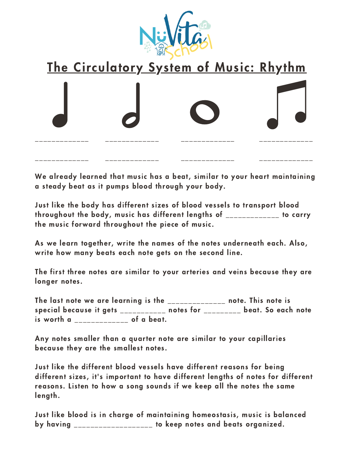

## The Circulatory System of Music: Rhythm

We already learned that music has a beat, similar to your heart maintaining a steady beat as it pumps blood through your body.

Just like the body has different sizes of blood vessels to transport blood throughout the body, music has different lengths of \_\_\_\_\_\_\_\_\_\_\_\_\_ to carry the music forward throughout the piece of music.

As we learn together, write the names of the notes underneath each. Also, write how many beats each note gets on the second line.

The first three notes are similar to your arteries and veins because they are longer notes.

The last note we are learning is the \_\_\_\_\_\_\_\_\_\_\_\_\_\_ note. This note is special because it gets **the contract of the set of the set of the set of the set of the set of the set of the s** is worth a set of a beat.

Any notes smaller than a quarter note are similar to your capillaries because they are the smallest notes.

Just like the different blood vessels have different reasons for being different sizes, it's important to have different lengths of notes for different reasons. Listen to how a song sounds if we keep all the notes the same length.

Just like blood is in charge of maintaining homeostasis, music is balanced by having \_\_\_\_\_\_\_\_\_\_\_\_\_\_\_\_\_ to keep notes and beats organized.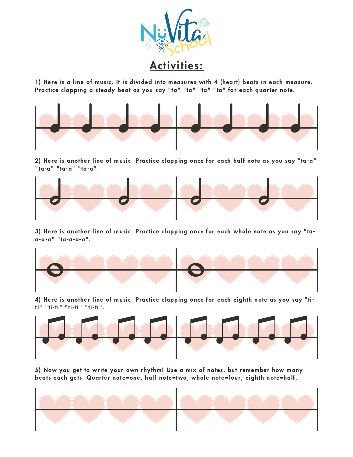

1) Here is a line of music. It is divided into measures with 4 (heart) beats in each measure. Practice clapping a steady beat as you say "ta" "ta" "ta" "ta" for each quarter note.



2) Here is another line of music. Practice clapping once for each half note as you say "ta-a" "ta-a" "ta-a" "ta-a".



3) Here is another line of music. Practice clapping once for each whole note as you say "taa-a-a" "ta-a-a-a".



4) Here is another line of music. Practice clapping once for each eighth note as you say "titi" "ti-ti" "ti-ti" "ti-ti".



5) Now you get to write your own rhythm! Use a mix of notes, but remember how many beats each gets. Quarter note=one, half note=two, whole note=four, eighth note=half.